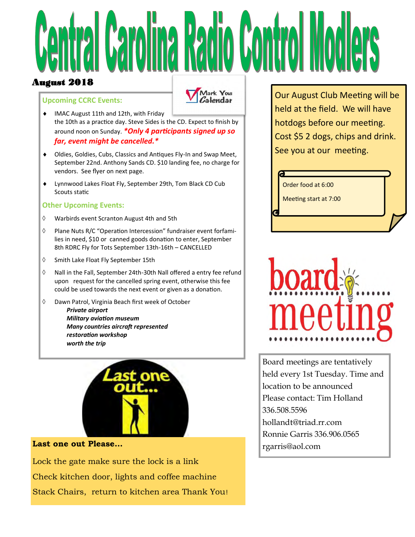#### August 2018

**Upcoming CCRC Events:**

Mark Your  $\boldsymbol{\mathcal{C}}$ alendar

- IMAC August 11th and 12th, with Friday the 10th as a practice day. Steve Sides is the CD. Expect to finish by around noon on Sunday. *\*Only 4 participants signed up so far, event might be cancelled.\**
- Oldies, Goldies, Cubs, Classics and Antiques Fly-In and Swap Meet, September 22nd. Anthony Sands CD. \$10 landing fee, no charge for vendors. See flyer on next page.
- Lynnwood Lakes Float Fly, September 29th, Tom Black CD Cub Scouts static

#### **Other Upcoming Events:**

- Warbirds event Scranton August 4th and 5th
- Plane Nuts R/C "Operation Intercession" fundraiser event forfamilies in need, \$10 or canned goods donation to enter, September 8th RDRC Fly for Tots September 13th-16th – CANCELLED
- $\Diamond$  Smith Lake Float Fly September 15th
- $\Diamond$  Nall in the Fall, September 24th-30th Nall offered a entry fee refund upon request for the cancelled spring event, otherwise this fee could be used towards the next event or given as a donation.
- Dawn Patrol, Virginia Beach first week of October *Private airport Military aviation museum Many countries aircraft represented restoration workshop worth the trip*



#### **Last one out Please...**

Lock the gate make sure the lock is a link Check kitchen door, lights and coffee machine Stack Chairs, return to kitchen area Thank You! Our August Club Meeting will be held at the field. We will have hotdogs before our meeting. Cost \$5 2 dogs, chips and drink. See you at our meeting.

Order food at 6:00 Meeting start at 7:00



Board meetings are tentatively held every 1st Tuesday. Time and location to be announced Please contact: Tim Holland 336.508.5596 hollandt@triad.rr.com Ronnie Garris 336.906.0565 rgarris@aol.com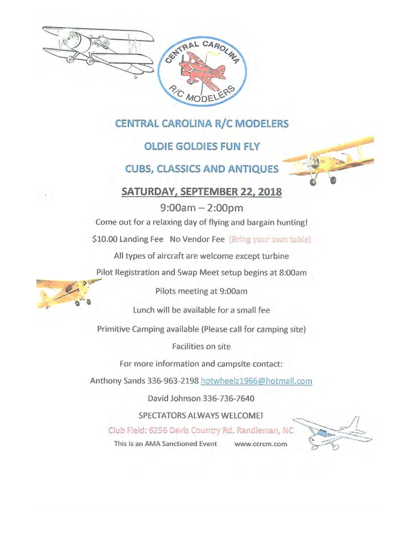

# **CENTRAL CAROLINA R/C MODELERS**

## **OLDIE GOLDIES FUN FLY**

**CUBS, CLASSICS AND ANTIQUES** 

### SATURDAY, SEPTEMBER 22, 2018

 $9:00am - 2:00pm$ Come out for a relaxing day of flying and bargain hunting!

\$10.00 Landing Fee No Vendor Fee (Bring your own table)

All types of aircraft are welcome except turbine

Pilot Registration and Swap Meet setup begins at 8:00am



Pilots meeting at 9:00am

Lunch will be available for a small fee

Primitive Camping available (Please call for camping site)

Facilities on site

For more information and campsite contact:

Anthony Sands 336-963-2198 hotwheelz1966@hotmail.com

David Johnson 336-736-7640

SPECTATORS ALWAYS WELCOME!

Club Field: 6256 Davis Country Rd. Randleman, NC

This is an AMA Sanctioned Event www.ccrcm.com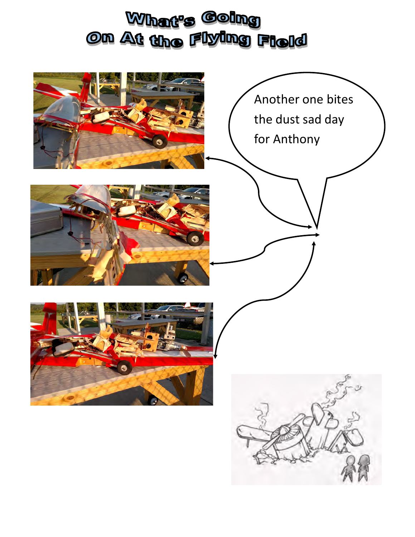# What's Coing Om At the Flying Field

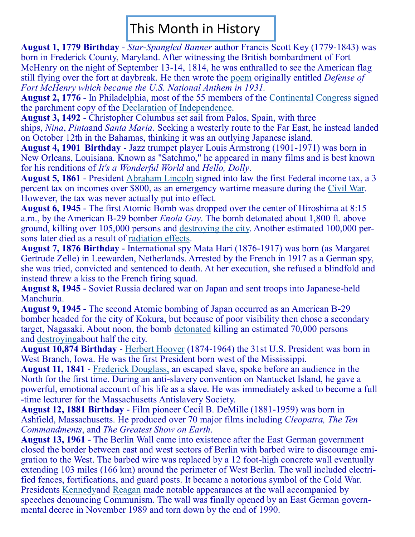# This Month in History

**August 1, 1779 Birthday** - *Star-Spangled Banner* author Francis Scott Key (1779-1843) was born in Frederick County, Maryland. After witnessing the British bombardment of Fort McHenry on the night of September 13-14, 1814, he was enthralled to see the American flag still flying over the fort at daybreak. He then wrote the [poem](http://www.historyplace.com/specials/calendar/docs-pix/aug-banner.htm) originally entitled *Defense of Fort McHenry which became the U.S. National Anthem in 1931.*

**August 2, 1776** - In Philadelphia, most of the 55 members of the [Continental Congress](http://www.historyplace.com/specials/calendar/#) signed the parchment copy of the [Declaration of Independence.](http://www.historyplace.com/unitedstates/revolution/decindep.htm) 

**August 3, 1492** - Christopher Columbus set sail from Palos, Spain, with three ships, *Nina*, *Pinta*and *Santa Maria*. Seeking a westerly route to the Far East, he instead landed on October 12th in the Bahamas, thinking it was an outlying Japanese island.

**August 4, 1901 Birthday** - Jazz trumpet player Louis Armstrong (1901-1971) was born in New Orleans, Louisiana. Known as "Satchmo," he appeared in many films and is best known for his renditions of *It's a Wonderful World* and *Hello, Dolly*.

**August 5, 1861** - President [Abraham Lincoln](http://www.historyplace.com/lincoln/index.html) signed into law the first Federal income tax, a 3 percent tax on incomes over \$800, as an emergency wartime measure during the [Civil War.](http://www.historyplace.com/civilwar/index.html)  However, the tax was never actually put into effect.

**August 6, 1945** - The first Atomic Bomb was dropped over the center of Hiroshima at 8:15 a.m., by the American B-29 bomber *Enola Gay*. The bomb detonated about 1,800 ft. above ground, killing over 105,000 persons and [destroying the city.](http://www.historyplace.com/specials/calendar/docs-pix/hirosh-after.jpg) Another estimated 100,000 persons later died as a result of [radiation effects.](http://www.historyplace.com/specials/calendar/docs-pix/hirosh-radiation.jpg)

**August 7, 1876 Birthday** - International spy Mata Hari (1876-1917) was born (as Margaret Gertrude Zelle) in Leewarden, Netherlands. Arrested by the French in 1917 as a German spy, she was tried, convicted and sentenced to death. At her execution, she refused a blindfold and instead threw a kiss to the French firing squad.

**August 8, 1945** - Soviet Russia declared war on Japan and sent troops into Japanese-held Manchuria.

**August 9, 1945** - The second Atomic bombing of Japan occurred as an American B-29 bomber headed for the city of Kokura, but because of poor visibility then chose a secondary target, Nagasaki. About noon, the bomb [detonated](http://www.historyplace.com/worldwar2/ww2-pix/abomb.jpg) killing an estimated 70,000 persons and [destroyingab](http://www.historyplace.com/worldwar2/ww2-pix/abomb2.jpg)out half the city.

**August 10,874 Birthday** - [Herbert Hoover](http://www.historyplace.com/specials/calendar/docs-pix/h-hoover.jpg) (1874-1964) the 31st U.S. President was born in West Branch, Iowa. He was the first President born west of the Mississippi.

**August 11, 1841** - [Frederick Douglass,](http://www.historyplace.com/lincoln/lincpix/douglass.jpg) an escaped slave, spoke before an audience in the North for the first time. During an anti-slavery convention on Nantucket Island, he gave a powerful, emotional account of his life as a slave. He was immediately asked to become a full -time lecturer for the Massachusetts Antislavery Society.

**August 12, 1881 Birthday** - Film pioneer Cecil B. DeMille (1881-1959) was born in Ashfield, Massachusetts. He produced over 70 major films including *Cleopatra, The Ten Commandments*, and *The Greatest Show on Earth*.

**August 13, 1961** - The Berlin Wall came into existence after the East German government closed the border between east and west sectors of Berlin with barbed wire to discourage emigration to the West. The barbed wire was replaced by a 12 foot-high concrete wall eventually extending 103 miles (166 km) around the perimeter of West Berlin. The wall included electrified fences, fortifications, and guard posts. It became a notorious symbol of the Cold War. Presidents [Kennedya](http://www.historyplace.com/speeches/jfk-berliner.htm)nd [Reagan](http://www.historyplace.com/speeches/reagan-tear-down.htm) made notable appearances at the wall accompanied by speeches denouncing Communism. The wall was finally opened by an East German governmental decree in November 1989 and torn down by the end of 1990.